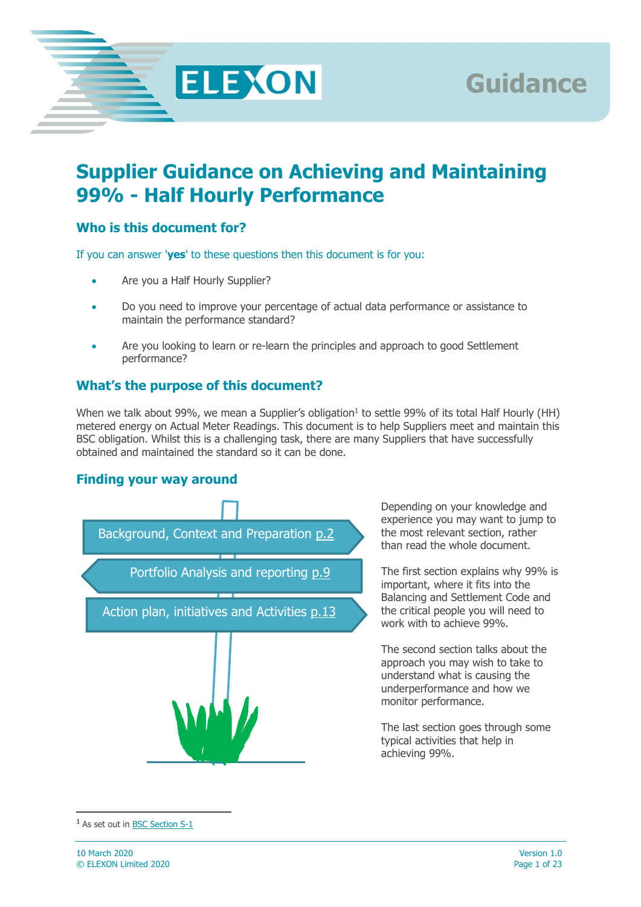

# **Supplier Guidance on Achieving and Maintaining 99% - Half Hourly Performance**

### **Who is this document for?**

If you can answer '**yes**' to these questions then this document is for you:

- Are you a Half Hourly Supplier?
- Do you need to improve your percentage of actual data performance or assistance to maintain the performance standard?
- Are you looking to learn or re-learn the principles and approach to good Settlement performance?

#### **What's the purpose of this document?**

When we talk about 99%, we mean a Supplier's obligation<sup>1</sup> to settle 99% of its total Half Hourly (HH) metered energy on Actual Meter Readings. This document is to help Suppliers meet and maintain this BSC obligation. Whilst this is a challenging task, there are many Suppliers that have successfully obtained and maintained the standard so it can be done.

#### **Finding your way around**



Depending on your knowledge and experience you may want to jump to the most relevant section, rather than read the whole document.

**Guidance**

The first section explains why 99% is important, where it fits into the Balancing and Settlement Code and the critical people you will need to work with to achieve 99%.

The second section talks about the approach you may wish to take to understand what is causing the underperformance and how we monitor performance.

The last section goes through some typical activities that help in achieving 99%.

 $\overline{a}$ 

<sup>1</sup> As set out in [BSC Section S-1](https://www.elexon.co.uk/the-bsc/bsc-section-s-annex-s-1-performance-levels-and-supplier-charges/)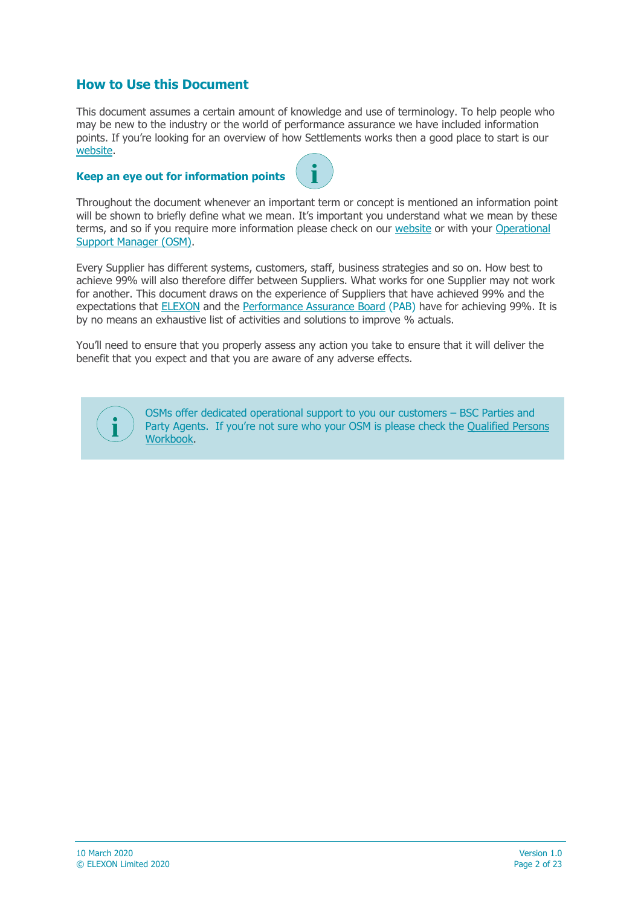#### **How to Use this Document**

This document assumes a certain amount of knowledge and use of terminology. To help people who may be new to the industry or the world of performance assurance we have included information points. If you're looking for an overview of how Settlements works then a good place to start is our [website.](https://www.elexon.co.uk/)

#### **Keep an eye out for information points**



Throughout the document whenever an important term or concept is mentioned an information point will be shown to briefly define what we mean. It's important you understand what we mean by these terms, and so if you require more information please check on our [website](https://www.elexon.co.uk/) or with your Operational [Support Manager \(OSM\).](https://www.elexon.co.uk/about/elexon-key-contacts/operational-support-managers-osms/)

Every Supplier has different systems, customers, staff, business strategies and so on. How best to achieve 99% will also therefore differ between Suppliers. What works for one Supplier may not work for another. This document draws on the experience of Suppliers that have achieved 99% and the expectations that [ELEXON](https://www.elexon.co.uk/) and the [Performance Assurance Board](https://www.elexon.co.uk/group/performance-assurance-board-pab/) (PAB) have for achieving 99%. It is by no means an exhaustive list of activities and solutions to improve % actuals.

You'll need to ensure that you properly assess any action you take to ensure that it will deliver the benefit that you expect and that you are aware of any adverse effects.



OSMs offer dedicated operational support to you our customers – BSC Parties and Party Agents. If you're not sure who your OSM is please check the [Qualified Persons](https://www.elexon.co.uk/bsc-and-codes/bsc-signatories-qualified-persons/)  [Workbook.](https://www.elexon.co.uk/bsc-and-codes/bsc-signatories-qualified-persons/)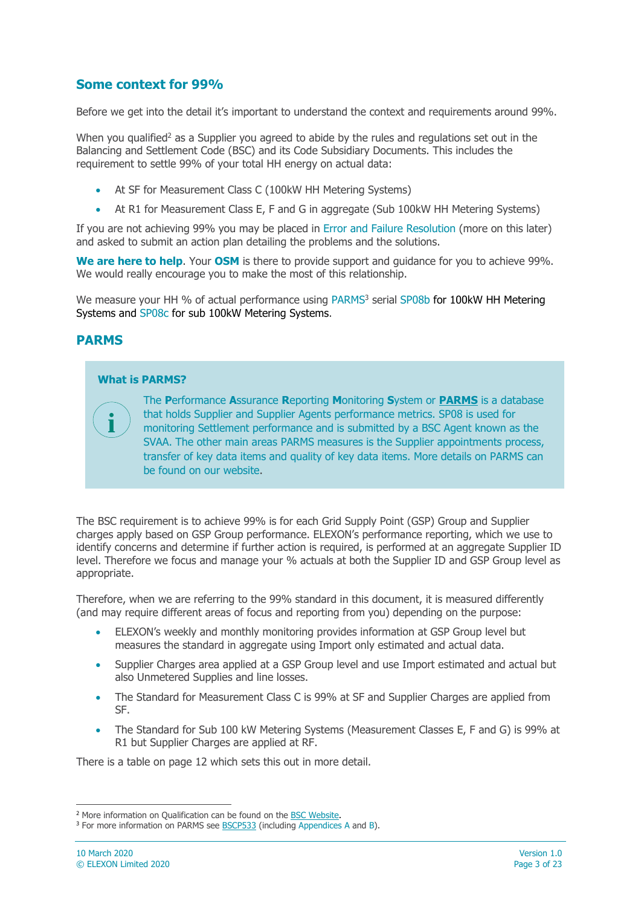#### **Some context for 99%**

Before we get into the detail it's important to understand the context and requirements around 99%.

When you qualified<sup>2</sup> as a Supplier you agreed to abide by the rules and regulations set out in the Balancing and Settlement Code (BSC) and its Code Subsidiary Documents. This includes the requirement to settle 99% of your total HH energy on actual data:

- At SF for Measurement Class C (100kW HH Metering Systems)
- At R1 for Measurement Class E, F and G in aggregate (Sub 100kW HH Metering Systems)

If you are not achieving 99% you may be placed in Error and Failure Resolution (more on this later) and asked to submit an action plan detailing the problems and the solutions.

**We are here to help**. Your **OSM** is there to provide support and guidance for you to achieve 99%. We would really encourage you to make the most of this relationship.

We measure your HH % of actual performance using PARMS<sup>3</sup> serial SP08b for 100kW HH Metering Systems and SP08c for sub 100kW Metering Systems.

#### **PARMS**

**i**

#### **What is PARMS?**

The **P**erformance **A**ssurance **R**eporting **M**onitoring **S**ystem or **[PARMS](https://www.elexon.co.uk/reference/performance-assurance/performance-assurance-techniques/parms/)** is a database that holds Supplier and Supplier Agents performance metrics. SP08 is used for monitoring Settlement performance and is submitted by a BSC Agent known as the SVAA. The other main areas PARMS measures is the Supplier appointments process, transfer of key data items and quality of key data items. More details on PARMS can be found on our website.

The BSC requirement is to achieve 99% is for each Grid Supply Point (GSP) Group and Supplier charges apply based on GSP Group performance. ELEXON's performance reporting, which we use to identify concerns and determine if further action is required, is performed at an aggregate Supplier ID level. Therefore we focus and manage your % actuals at both the Supplier ID and GSP Group level as appropriate.

Therefore, when we are referring to the 99% standard in this document, it is measured differently (and may require different areas of focus and reporting from you) depending on the purpose:

- ELEXON's weekly and monthly monitoring provides information at GSP Group level but measures the standard in aggregate using Import only estimated and actual data.
- Supplier Charges area applied at a GSP Group level and use Import estimated and actual but also Unmetered Supplies and line losses.
- The Standard for Measurement Class C is 99% at SF and Supplier Charges are applied from SF.
- The Standard for Sub 100 kW Metering Systems (Measurement Classes E, F and G) is 99% at R1 but Supplier Charges are applied at RF.

There is a table on page 12 which sets this out in more detail.

 $\overline{a}$ 

<sup>2</sup> More information on Qualification can be found on the [BSC Website.](https://www.elexon.co.uk/reference/market-entry/sva-qualification/)

<sup>&</sup>lt;sup>3</sup> For more information on PARMS see [BSCP533](https://www.elexon.co.uk/csd/bscp533-parms-data-provision-reporting-and-publication-of-peer-comparison-data/) (including Appendices A and B).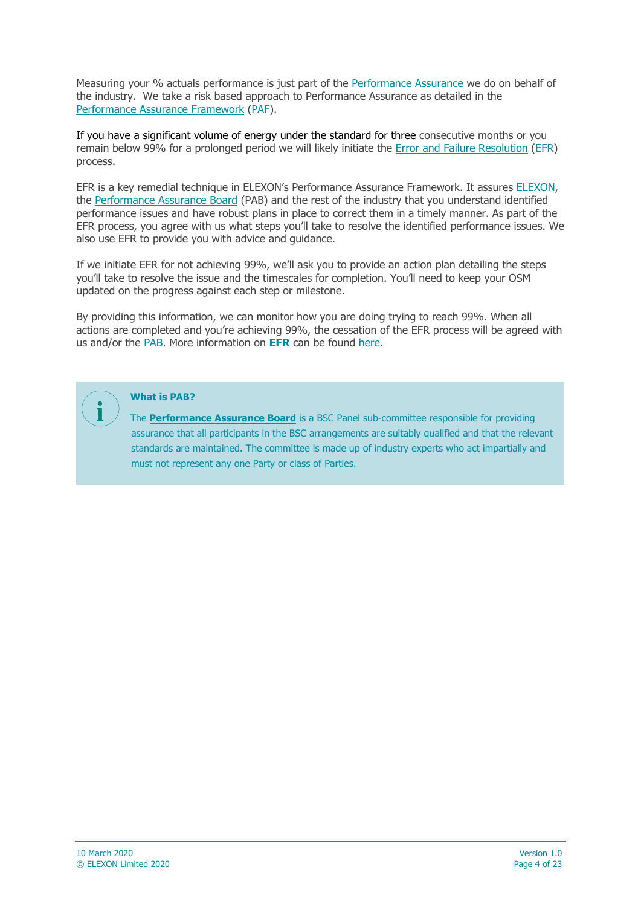Measuring your % actuals performance is just part of the Performance Assurance we do on behalf of the industry. We take a risk based approach to Performance Assurance as detailed in the [Performance Assurance Framework](https://www.elexon.co.uk/reference/performance-assurance/) (PAF).

If you have a significant volume of energy under the standard for three consecutive months or you remain below 99% for a prolonged period we will likely initiate the [Error and Failure Resolution](https://www.elexon.co.uk/reference/performance-assurance/performance-assurance-techniques/error-and-failure-resolution/) (EFR) process.

EFR is a key remedial technique in ELEXON's Performance Assurance Framework. It assures ELEXON, the [Performance Assurance Board](https://www.elexon.co.uk/group/performance-assurance-board-pab/) (PAB) and the rest of the industry that you understand identified performance issues and have robust plans in place to correct them in a timely manner. As part of the EFR process, you agree with us what steps you'll take to resolve the identified performance issues. We also use EFR to provide you with advice and guidance.

If we initiate EFR for not achieving 99%, we'll ask you to provide an action plan detailing the steps you'll take to resolve the issue and the timescales for completion. You'll need to keep your OSM updated on the progress against each step or milestone.

By providing this information, we can monitor how you are doing trying to reach 99%. When all actions are completed and you're achieving 99%, the cessation of the EFR process will be agreed with us and/or the PAB. More information on **EFR** can be found [here.](https://www.elexon.co.uk/reference/performance-assurance/performance-assurance-techniques/error-and-failure-resolution/)



#### **What is PAB?**

The **[Performance Assurance Board](https://www.elexon.co.uk/group/performance-assurance-board-pab/)** is a BSC Panel sub-committee responsible for providing assurance that all participants in the BSC arrangements are suitably qualified and that the relevant standards are maintained. The committee is made up of industry experts who act impartially and must not represent any one Party or class of Parties.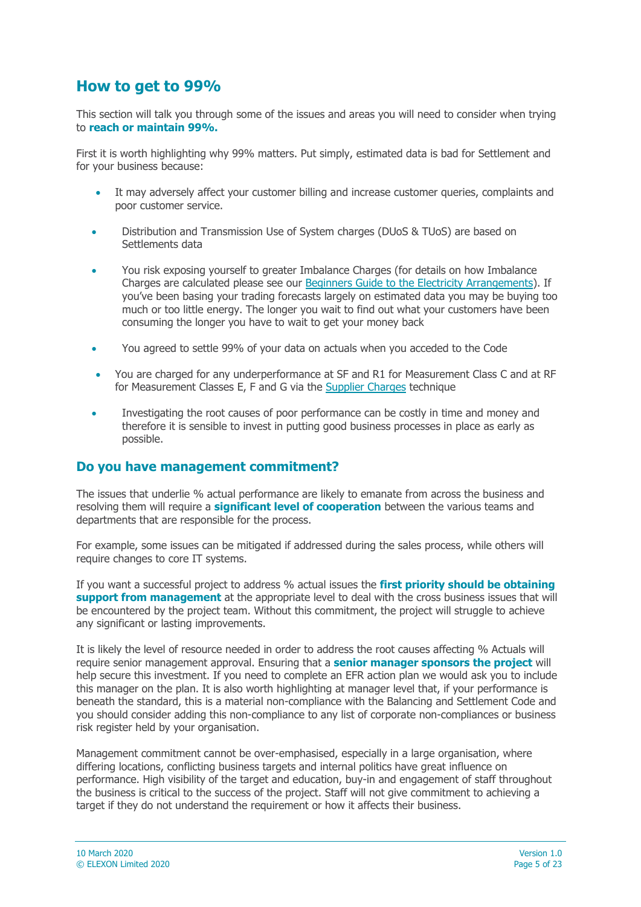## **How to get to 99%**

This section will talk you through some of the issues and areas you will need to consider when trying to **reach or maintain 99%.**

First it is worth highlighting why 99% matters. Put simply, estimated data is bad for Settlement and for your business because:

- It may adversely affect your customer billing and increase customer queries, complaints and poor customer service.
- Distribution and Transmission Use of System charges (DUoS & TUoS) are based on Settlements data
- You risk exposing yourself to greater Imbalance Charges (for details on how Imbalance Charges are calculated please see our [Beginners Guide to the Electricity Arrangements\)](https://www.elexon.co.uk/guidance-note/beginners-guide/). If you've been basing your trading forecasts largely on estimated data you may be buying too much or too little energy. The longer you wait to find out what your customers have been consuming the longer you have to wait to get your money back
- You agreed to settle 99% of your data on actuals when you acceded to the Code
- You are charged for any underperformance at SF and R1 for Measurement Class C and at RF for Measurement Classes E, F and G via the [Supplier Charges](https://www.elexon.co.uk/reference/performance-assurance/performance-assurance-techniques/supplier-charges/) technique
- Investigating the root causes of poor performance can be costly in time and money and therefore it is sensible to invest in putting good business processes in place as early as possible.

#### **Do you have management commitment?**

The issues that underlie % actual performance are likely to emanate from across the business and resolving them will require a **significant level of cooperation** between the various teams and departments that are responsible for the process.

For example, some issues can be mitigated if addressed during the sales process, while others will require changes to core IT systems.

If you want a successful project to address % actual issues the **first priority should be obtaining support from management** at the appropriate level to deal with the cross business issues that will be encountered by the project team. Without this commitment, the project will struggle to achieve any significant or lasting improvements.

It is likely the level of resource needed in order to address the root causes affecting % Actuals will require senior management approval. Ensuring that a **senior manager sponsors the project** will help secure this investment. If you need to complete an EFR action plan we would ask you to include this manager on the plan. It is also worth highlighting at manager level that, if your performance is beneath the standard, this is a material non-compliance with the Balancing and Settlement Code and you should consider adding this non-compliance to any list of corporate non-compliances or business risk register held by your organisation.

Management commitment cannot be over-emphasised, especially in a large organisation, where differing locations, conflicting business targets and internal politics have great influence on performance. High visibility of the target and education, buy-in and engagement of staff throughout the business is critical to the success of the project. Staff will not give commitment to achieving a target if they do not understand the requirement or how it affects their business.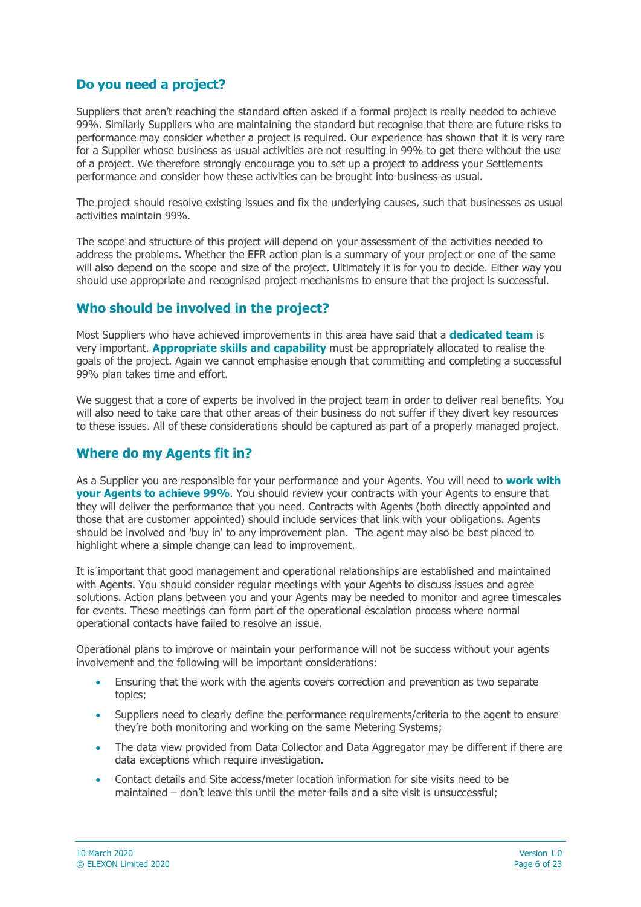### **Do you need a project?**

Suppliers that aren't reaching the standard often asked if a formal project is really needed to achieve 99%. Similarly Suppliers who are maintaining the standard but recognise that there are future risks to performance may consider whether a project is required. Our experience has shown that it is very rare for a Supplier whose business as usual activities are not resulting in 99% to get there without the use of a project. We therefore strongly encourage you to set up a project to address your Settlements performance and consider how these activities can be brought into business as usual.

The project should resolve existing issues and fix the underlying causes, such that businesses as usual activities maintain 99%.

The scope and structure of this project will depend on your assessment of the activities needed to address the problems. Whether the EFR action plan is a summary of your project or one of the same will also depend on the scope and size of the project. Ultimately it is for you to decide. Either way you should use appropriate and recognised project mechanisms to ensure that the project is successful.

#### **Who should be involved in the project?**

Most Suppliers who have achieved improvements in this area have said that a **dedicated team** is very important. **Appropriate skills and capability** must be appropriately allocated to realise the goals of the project. Again we cannot emphasise enough that committing and completing a successful 99% plan takes time and effort.

We suggest that a core of experts be involved in the project team in order to deliver real benefits. You will also need to take care that other areas of their business do not suffer if they divert key resources to these issues. All of these considerations should be captured as part of a properly managed project.

### **Where do my Agents fit in?**

As a Supplier you are responsible for your performance and your Agents. You will need to **work with your Agents to achieve 99%**. You should review your contracts with your Agents to ensure that they will deliver the performance that you need. Contracts with Agents (both directly appointed and those that are customer appointed) should include services that link with your obligations. Agents should be involved and 'buy in' to any improvement plan. The agent may also be best placed to highlight where a simple change can lead to improvement.

It is important that good management and operational relationships are established and maintained with Agents. You should consider regular meetings with your Agents to discuss issues and agree solutions. Action plans between you and your Agents may be needed to monitor and agree timescales for events. These meetings can form part of the operational escalation process where normal operational contacts have failed to resolve an issue.

Operational plans to improve or maintain your performance will not be success without your agents involvement and the following will be important considerations:

- Ensuring that the work with the agents covers correction and prevention as two separate topics;
- Suppliers need to clearly define the performance requirements/criteria to the agent to ensure they're both monitoring and working on the same Metering Systems;
- The data view provided from Data Collector and Data Aggregator may be different if there are data exceptions which require investigation.
- Contact details and Site access/meter location information for site visits need to be maintained – don't leave this until the meter fails and a site visit is unsuccessful;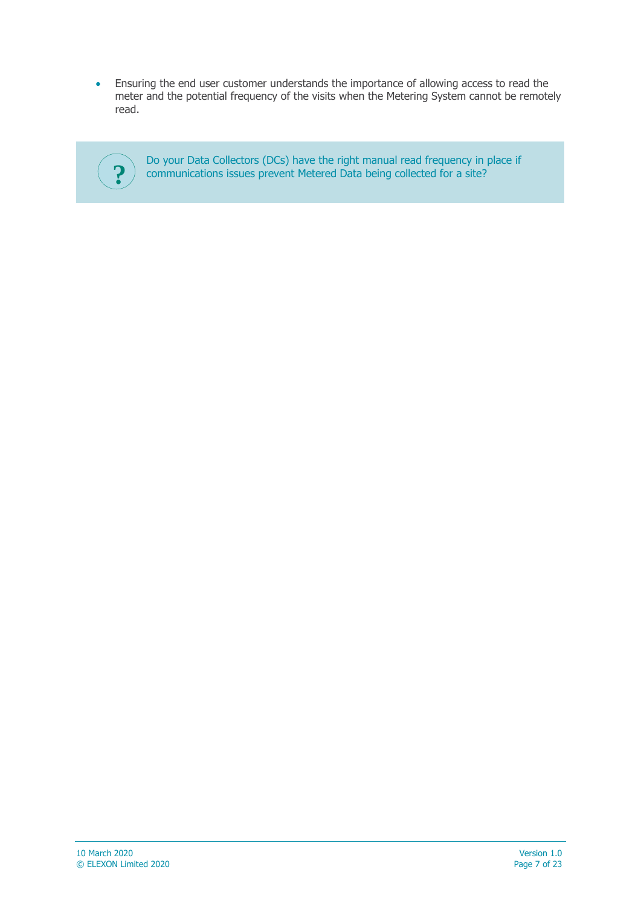Ensuring the end user customer understands the importance of allowing access to read the meter and the potential frequency of the visits when the Metering System cannot be remotely read.



Do your Data Collectors (DCs) have the right manual read frequency in place if **?** communications issues prevent Metered Data being collected for a site?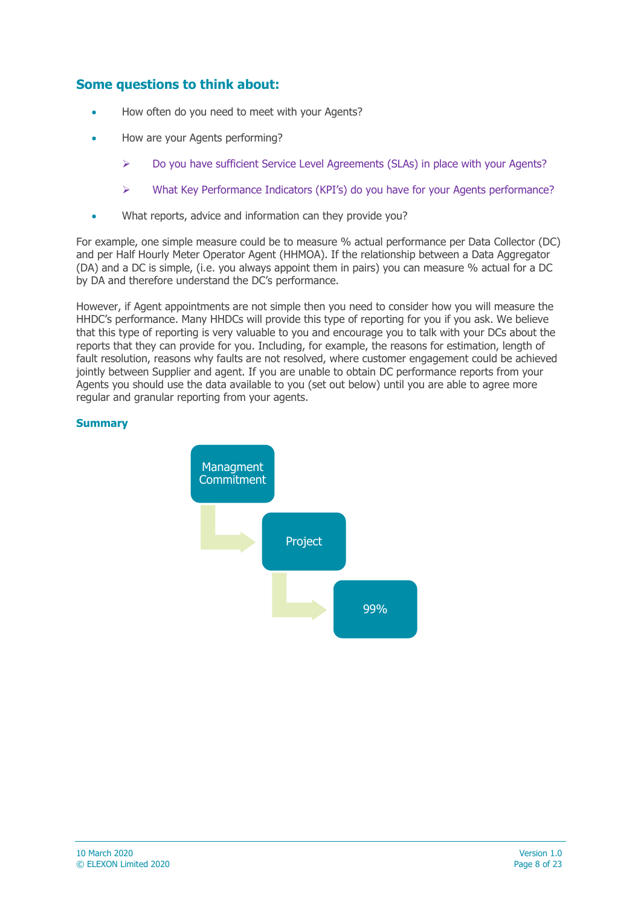#### **Some questions to think about:**

- How often do you need to meet with your Agents?
- How are your Agents performing?
	- $\triangleright$  Do you have sufficient Service Level Agreements (SLAs) in place with your Agents?
	- What Key Performance Indicators (KPI's) do you have for your Agents performance?
- What reports, advice and information can they provide you?

For example, one simple measure could be to measure % actual performance per Data Collector (DC) and per Half Hourly Meter Operator Agent (HHMOA). If the relationship between a Data Aggregator (DA) and a DC is simple, (i.e. you always appoint them in pairs) you can measure % actual for a DC by DA and therefore understand the DC's performance.

However, if Agent appointments are not simple then you need to consider how you will measure the HHDC's performance. Many HHDCs will provide this type of reporting for you if you ask. We believe that this type of reporting is very valuable to you and encourage you to talk with your DCs about the reports that they can provide for you. Including, for example, the reasons for estimation, length of fault resolution, reasons why faults are not resolved, where customer engagement could be achieved jointly between Supplier and agent. If you are unable to obtain DC performance reports from your Agents you should use the data available to you (set out below) until you are able to agree more regular and granular reporting from your agents.

#### **Summary**

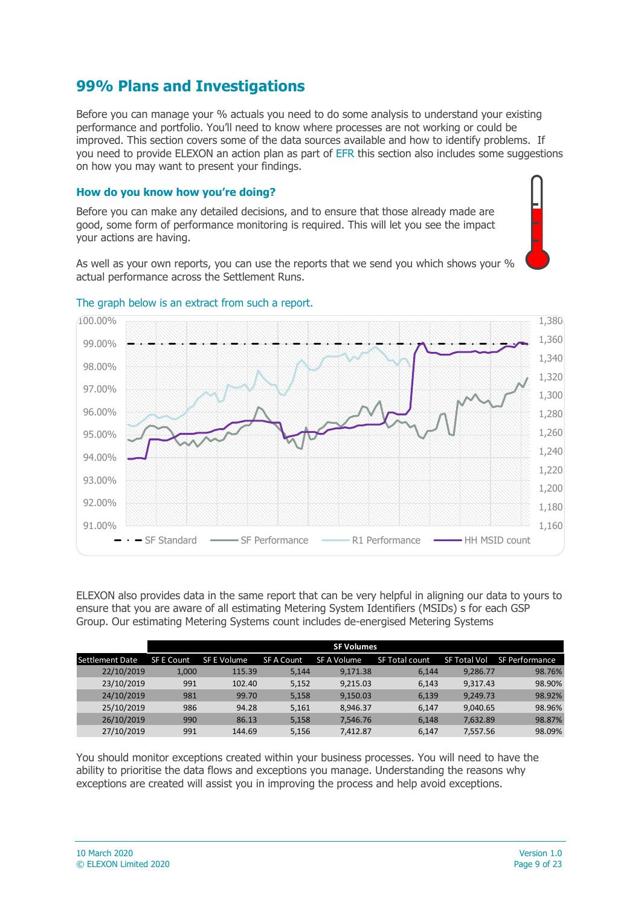# <span id="page-8-0"></span>**99% Plans and Investigations**

Before you can manage your % actuals you need to do some analysis to understand your existing performance and portfolio. You'll need to know where processes are not working or could be improved. This section covers some of the data sources available and how to identify problems. If you need to provide ELEXON an action plan as part of EFR this section also includes some suggestions on how you may want to present your findings.

#### **How do you know how you're doing?**

Before you can make any detailed decisions, and to ensure that those already made are good, some form of performance monitoring is required. This will let you see the impact your actions are having.

As well as your own reports, you can use the reports that we send you which shows your % actual performance across the Settlement Runs.



#### The graph below is an extract from such a report.

ELEXON also provides data in the same report that can be very helpful in aligning our data to yours to ensure that you are aware of all estimating Metering System Identifiers (MSIDs) s for each GSP Group. Our estimating Metering Systems count includes de-energised Metering Systems

|                 | <b>SF Volumes</b> |             |                   |             |                |              |                |  |
|-----------------|-------------------|-------------|-------------------|-------------|----------------|--------------|----------------|--|
| Settlement Date | <b>SF E Count</b> | SF E Volume | <b>SF A Count</b> | SF A Volume | SF Total count | SF Total Vol | SF Performance |  |
| 22/10/2019      | 1,000             | 115.39      | 5.144             | 9.171.38    | 6.144          | 9,286.77     | 98.76%         |  |
| 23/10/2019      | 991               | 102.40      | 5.152             | 9.215.03    | 6.143          | 9.317.43     | 98.90%         |  |
| 24/10/2019      | 981               | 99.70       | 5,158             | 9,150.03    | 6,139          | 9.249.73     | 98.92%         |  |
| 25/10/2019      | 986               | 94.28       | 5.161             | 8.946.37    | 6.147          | 9.040.65     | 98.96%         |  |
| 26/10/2019      | 990               | 86.13       | 5.158             | 7,546.76    | 6.148          | 7,632.89     | 98.87%         |  |
| 27/10/2019      | 991               | 144.69      | 5.156             | 7.412.87    | 6.147          | 7.557.56     | 98.09%         |  |

You should monitor exceptions created within your business processes. You will need to have the ability to prioritise the data flows and exceptions you manage. Understanding the reasons why exceptions are created will assist you in improving the process and help avoid exceptions.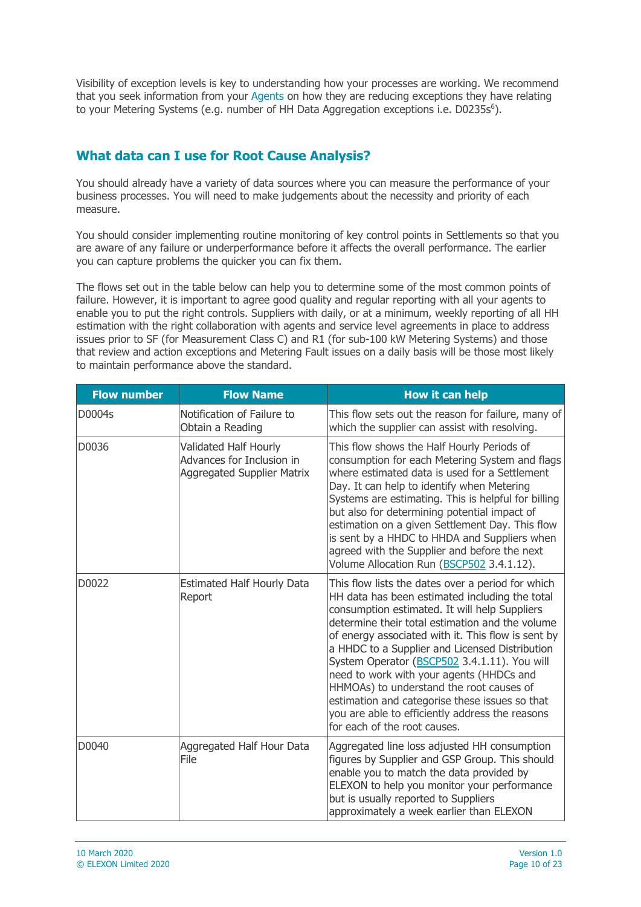Visibility of exception levels is key to understanding how your processes are working. We recommend that you seek information from your Agents on how they are reducing exceptions they have relating to your Metering Systems (e.g. number of HH Data Aggregation exceptions i.e. D0235s<sup>6</sup>).

### **What data can I use for Root Cause Analysis?**

You should already have a variety of data sources where you can measure the performance of your business processes. You will need to make judgements about the necessity and priority of each measure.

You should consider implementing routine monitoring of key control points in Settlements so that you are aware of any failure or underperformance before it affects the overall performance. The earlier you can capture problems the quicker you can fix them.

The flows set out in the table below can help you to determine some of the most common points of failure. However, it is important to agree good quality and regular reporting with all your agents to enable you to put the right controls. Suppliers with daily, or at a minimum, weekly reporting of all HH estimation with the right collaboration with agents and service level agreements in place to address issues prior to SF (for Measurement Class C) and R1 (for sub-100 kW Metering Systems) and those that review and action exceptions and Metering Fault issues on a daily basis will be those most likely to maintain performance above the standard.

| <b>Flow number</b> | <b>Flow Name</b>                                                                        | <b>How it can help</b>                                                                                                                                                                                                                                                                                                                                                                                                                                                                                                                                                                       |
|--------------------|-----------------------------------------------------------------------------------------|----------------------------------------------------------------------------------------------------------------------------------------------------------------------------------------------------------------------------------------------------------------------------------------------------------------------------------------------------------------------------------------------------------------------------------------------------------------------------------------------------------------------------------------------------------------------------------------------|
| D0004s             | Notification of Failure to<br>Obtain a Reading                                          | This flow sets out the reason for failure, many of<br>which the supplier can assist with resolving.                                                                                                                                                                                                                                                                                                                                                                                                                                                                                          |
| D0036              | Validated Half Hourly<br>Advances for Inclusion in<br><b>Aggregated Supplier Matrix</b> | This flow shows the Half Hourly Periods of<br>consumption for each Metering System and flags<br>where estimated data is used for a Settlement<br>Day. It can help to identify when Metering<br>Systems are estimating. This is helpful for billing<br>but also for determining potential impact of<br>estimation on a given Settlement Day. This flow<br>is sent by a HHDC to HHDA and Suppliers when<br>agreed with the Supplier and before the next<br>Volume Allocation Run (BSCP502 3.4.1.12).                                                                                           |
| D0022              | <b>Estimated Half Hourly Data</b><br>Report                                             | This flow lists the dates over a period for which<br>HH data has been estimated including the total<br>consumption estimated. It will help Suppliers<br>determine their total estimation and the volume<br>of energy associated with it. This flow is sent by<br>a HHDC to a Supplier and Licensed Distribution<br>System Operator (BSCP502 3.4.1.11). You will<br>need to work with your agents (HHDCs and<br>HHMOAs) to understand the root causes of<br>estimation and categorise these issues so that<br>you are able to efficiently address the reasons<br>for each of the root causes. |
| D0040              | Aggregated Half Hour Data<br>File                                                       | Aggregated line loss adjusted HH consumption<br>figures by Supplier and GSP Group. This should<br>enable you to match the data provided by<br>ELEXON to help you monitor your performance<br>but is usually reported to Suppliers<br>approximately a week earlier than ELEXON                                                                                                                                                                                                                                                                                                                |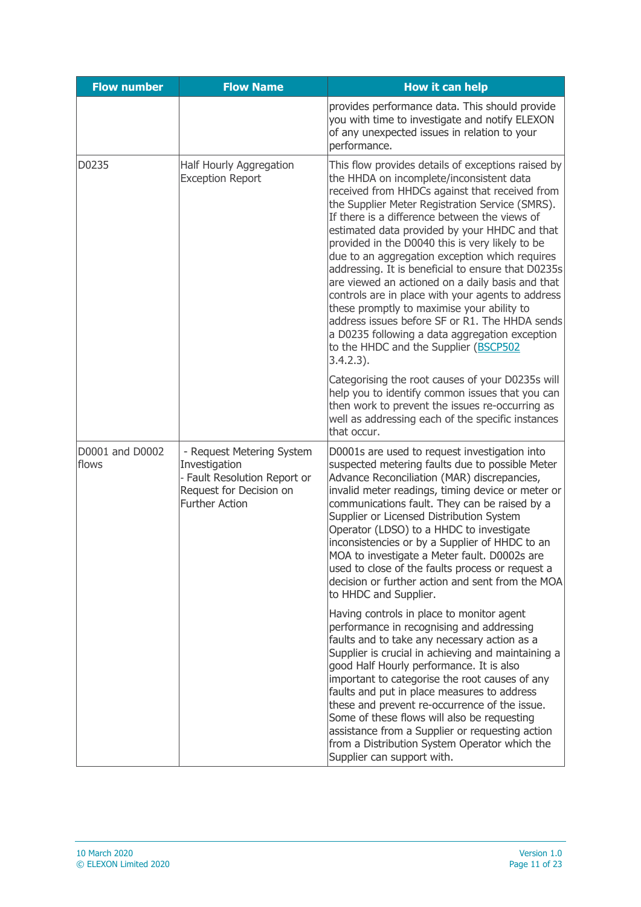| <b>Flow number</b>       | <b>Flow Name</b>                                                                                                               | <b>How it can help</b>                                                                                                                                                                                                                                                                                                                                                                                                                                                                                                                                                                                                                                                                                                                                                               |
|--------------------------|--------------------------------------------------------------------------------------------------------------------------------|--------------------------------------------------------------------------------------------------------------------------------------------------------------------------------------------------------------------------------------------------------------------------------------------------------------------------------------------------------------------------------------------------------------------------------------------------------------------------------------------------------------------------------------------------------------------------------------------------------------------------------------------------------------------------------------------------------------------------------------------------------------------------------------|
|                          |                                                                                                                                | provides performance data. This should provide<br>you with time to investigate and notify ELEXON<br>of any unexpected issues in relation to your<br>performance.                                                                                                                                                                                                                                                                                                                                                                                                                                                                                                                                                                                                                     |
| D0235                    | Half Hourly Aggregation<br><b>Exception Report</b>                                                                             | This flow provides details of exceptions raised by<br>the HHDA on incomplete/inconsistent data<br>received from HHDCs against that received from<br>the Supplier Meter Registration Service (SMRS).<br>If there is a difference between the views of<br>estimated data provided by your HHDC and that<br>provided in the D0040 this is very likely to be<br>due to an aggregation exception which requires<br>addressing. It is beneficial to ensure that D0235s<br>are viewed an actioned on a daily basis and that<br>controls are in place with your agents to address<br>these promptly to maximise your ability to<br>address issues before SF or R1. The HHDA sends<br>a D0235 following a data aggregation exception<br>to the HHDC and the Supplier (BSCP502<br>$3.4.2.3$ ). |
|                          |                                                                                                                                | Categorising the root causes of your D0235s will<br>help you to identify common issues that you can<br>then work to prevent the issues re-occurring as<br>well as addressing each of the specific instances<br>that occur.                                                                                                                                                                                                                                                                                                                                                                                                                                                                                                                                                           |
| D0001 and D0002<br>flows | - Request Metering System<br>Investigation<br>- Fault Resolution Report or<br>Request for Decision on<br><b>Further Action</b> | D0001s are used to request investigation into<br>suspected metering faults due to possible Meter<br>Advance Reconciliation (MAR) discrepancies,<br>invalid meter readings, timing device or meter or<br>communications fault. They can be raised by a<br>Supplier or Licensed Distribution System<br>Operator (LDSO) to a HHDC to investigate<br>inconsistencies or by a Supplier of HHDC to an<br>MOA to investigate a Meter fault. D0002s are<br>used to close of the faults process or request a<br>decision or further action and sent from the MOA<br>to HHDC and Supplier.                                                                                                                                                                                                     |
|                          |                                                                                                                                | Having controls in place to monitor agent<br>performance in recognising and addressing<br>faults and to take any necessary action as a<br>Supplier is crucial in achieving and maintaining a<br>good Half Hourly performance. It is also<br>important to categorise the root causes of any<br>faults and put in place measures to address<br>these and prevent re-occurrence of the issue.<br>Some of these flows will also be requesting<br>assistance from a Supplier or requesting action<br>from a Distribution System Operator which the<br>Supplier can support with.                                                                                                                                                                                                          |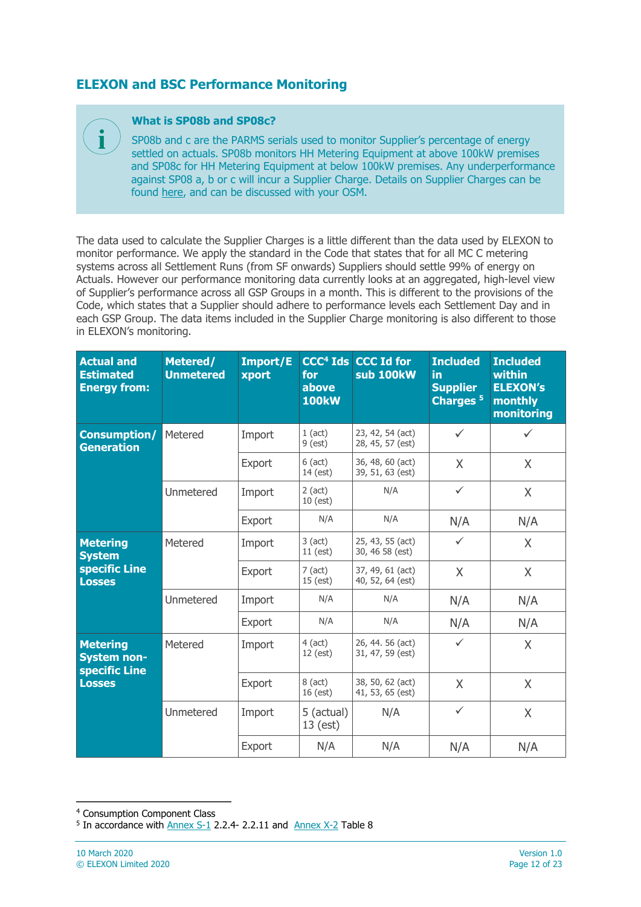### **ELEXON and BSC Performance Monitoring**

#### **What is SP08b and SP08c?**

**i**

SP08b and c are the PARMS serials used to monitor Supplier's percentage of energy settled on actuals. SP08b monitors HH Metering Equipment at above 100kW premises and SP08c for HH Metering Equipment at below 100kW premises. Any underperformance against SP08 a, b or c will incur a Supplier Charge. Details on Supplier Charges can be found [here,](http://www.elexon.co.uk/reference/market-compliance/supplier-charges/) and can be discussed with your OSM.

The data used to calculate the Supplier Charges is a little different than the data used by ELEXON to monitor performance. We apply the standard in the Code that states that for all MC C metering systems across all Settlement Runs (from SF onwards) Suppliers should settle 99% of energy on Actuals. However our performance monitoring data currently looks at an aggregated, high-level view of Supplier's performance across all GSP Groups in a month. This is different to the provisions of the Code, which states that a Supplier should adhere to performance levels each Settlement Day and in each GSP Group. The data items included in the Supplier Charge monitoring is also different to those in ELEXON's monitoring.

| <b>Actual and</b><br><b>Estimated</b><br><b>Energy from:</b>            | Metered/<br><b>Unmetered</b> | Import/E<br>xport | CCC <sup>4</sup> Ids<br>for<br>above<br><b>100kW</b> | <b>CCC Id for</b><br>sub 100kW       | <b>Included</b><br>in<br><b>Supplier</b><br>Charges <sup>5</sup> | <b>Included</b><br>within<br><b>ELEXON's</b><br>monthly<br>monitoring |
|-------------------------------------------------------------------------|------------------------------|-------------------|------------------------------------------------------|--------------------------------------|------------------------------------------------------------------|-----------------------------------------------------------------------|
| Consumption/<br><b>Generation</b>                                       | Metered                      | Import            | $1$ (act)<br>$9$ (est)                               | 23, 42, 54 (act)<br>28, 45, 57 (est) | $\checkmark$                                                     | $\checkmark$                                                          |
|                                                                         |                              | Export            | $6$ (act)<br>14 (est)                                | 36, 48, 60 (act)<br>39, 51, 63 (est) | X                                                                | X                                                                     |
|                                                                         | Unmetered                    | Import            | $2$ (act)<br>10 (est)                                | N/A                                  | $\checkmark$                                                     | X                                                                     |
|                                                                         |                              | Export            | N/A                                                  | N/A                                  | N/A                                                              | N/A                                                                   |
| <b>Metering</b><br><b>System</b><br>specific Line<br><b>Losses</b>      | Metered                      | Import            | $3$ (act)<br>$11$ (est)                              | 25, 43, 55 (act)<br>30, 46 58 (est)  | $\checkmark$                                                     | X                                                                     |
|                                                                         |                              | Export            | $7$ (act)<br>$15$ (est)                              | 37, 49, 61 (act)<br>40, 52, 64 (est) | X                                                                | X                                                                     |
|                                                                         | Unmetered                    | Import            | N/A                                                  | N/A                                  | N/A                                                              | N/A                                                                   |
|                                                                         |                              | Export            | N/A                                                  | N/A                                  | N/A                                                              | N/A                                                                   |
| <b>Metering</b><br><b>System non-</b><br>specific Line<br><b>Losses</b> | Metered                      | Import            | $4$ (act)<br>12 (est)                                | 26, 44. 56 (act)<br>31, 47, 59 (est) | $\checkmark$                                                     | X                                                                     |
|                                                                         |                              | Export            | $8$ (act)<br>16 (est)                                | 38, 50, 62 (act)<br>41, 53, 65 (est) | X                                                                | X                                                                     |
|                                                                         | Unmetered                    | Import            | 5 (actual)<br>$13$ (est)                             | N/A                                  | $\checkmark$                                                     | X                                                                     |
|                                                                         |                              | Export            | N/A                                                  | N/A                                  | N/A                                                              | N/A                                                                   |

-

<sup>4</sup> Consumption Component Class

<sup>&</sup>lt;sup>5</sup> In accordance with **Annex S-1** 2.2.4- 2.2.11 and **[Annex X-2](https://www.elexon.co.uk/the-bsc/bsc-section-x-annex-x-2-technical-glossary/)** Table 8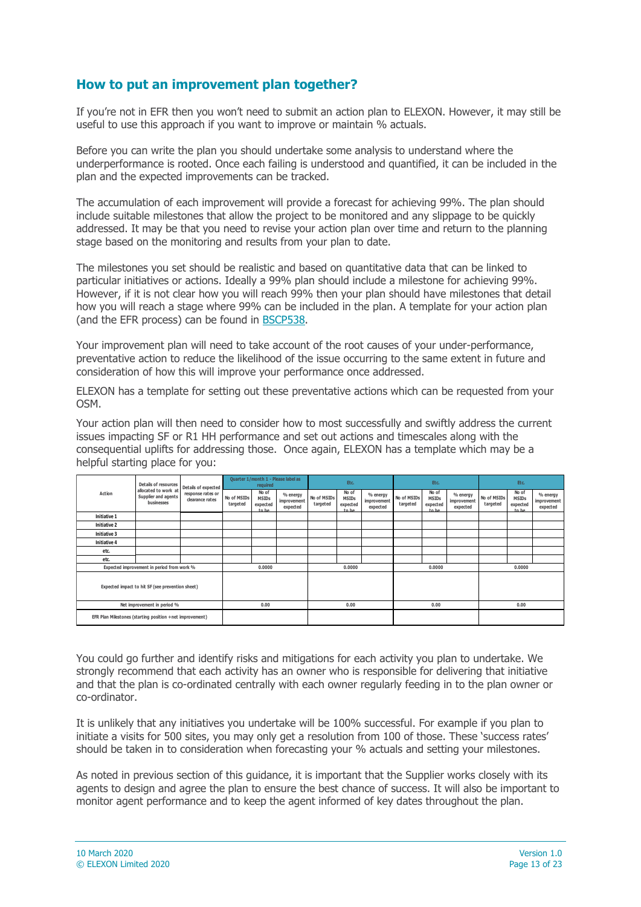#### **How to put an improvement plan together?**

If you're not in EFR then you won't need to submit an action plan to ELEXON. However, it may still be useful to use this approach if you want to improve or maintain % actuals.

Before you can write the plan you should undertake some analysis to understand where the underperformance is rooted. Once each failing is understood and quantified, it can be included in the plan and the expected improvements can be tracked.

The accumulation of each improvement will provide a forecast for achieving 99%. The plan should include suitable milestones that allow the project to be monitored and any slippage to be quickly addressed. It may be that you need to revise your action plan over time and return to the planning stage based on the monitoring and results from your plan to date.

The milestones you set should be realistic and based on quantitative data that can be linked to particular initiatives or actions. Ideally a 99% plan should include a milestone for achieving 99%. However, if it is not clear how you will reach 99% then your plan should have milestones that detail how you will reach a stage where 99% can be included in the plan. A template for your action plan (and the EFR process) can be found in [BSCP538.](https://www.elexon.co.uk/csd/bscp538-error-and-failure-resolution/)

Your improvement plan will need to take account of the root causes of your under-performance, preventative action to reduce the likelihood of the issue occurring to the same extent in future and consideration of how this will improve your performance once addressed.

ELEXON has a template for setting out these preventative actions which can be requested from your OSM.

Your action plan will then need to consider how to most successfully and swiftly address the current issues impacting SF or R1 HH performance and set out actions and timescales along with the consequential uplifts for addressing those. Once again, ELEXON has a template which may be a helpful starting place for you:

| allocated to work at<br>Action<br>Supplier and agents<br>businesses | Details of resources                 | Details of expected     | Quarter 1/month 1 - Please label as<br>required |                                     |                         | Etc.                                       |                                     | Etc.                    |                                            |                                     | Etc.                    |                                            |                                     |  |
|---------------------------------------------------------------------|--------------------------------------|-------------------------|-------------------------------------------------|-------------------------------------|-------------------------|--------------------------------------------|-------------------------------------|-------------------------|--------------------------------------------|-------------------------------------|-------------------------|--------------------------------------------|-------------------------------------|--|
|                                                                     | response rates or<br>clearance rates | No of MSIDs<br>targeted | No of<br><b>MSIDs</b><br>expected<br>to he      | % energy<br>improvement<br>expected | No of MSIDs<br>targeted | No of<br><b>MSIDs</b><br>expected<br>to he | % energy<br>improvement<br>expected | No of MSIDs<br>targeted | No of<br><b>MSIDs</b><br>expected<br>to he | % energy<br>improvement<br>expected | No of MSIDs<br>targeted | No of<br><b>MSIDs</b><br>expected<br>to he | % energy<br>improvement<br>expected |  |
| Initiative 1                                                        |                                      |                         |                                                 |                                     |                         |                                            |                                     |                         |                                            |                                     |                         |                                            |                                     |  |
| Initiative 2                                                        |                                      |                         |                                                 |                                     |                         |                                            |                                     |                         |                                            |                                     |                         |                                            |                                     |  |
| Initiative 3                                                        |                                      |                         |                                                 |                                     |                         |                                            |                                     |                         |                                            |                                     |                         |                                            |                                     |  |
| Initiative 4                                                        |                                      |                         |                                                 |                                     |                         |                                            |                                     |                         |                                            |                                     |                         |                                            |                                     |  |
| etc.                                                                |                                      |                         |                                                 |                                     |                         |                                            |                                     |                         |                                            |                                     |                         |                                            |                                     |  |
| etc.                                                                |                                      |                         |                                                 |                                     |                         |                                            |                                     |                         |                                            |                                     |                         |                                            |                                     |  |
| Expected improvement in period from work %                          |                                      | 0.0000                  |                                                 |                                     | 0.0000                  |                                            | 0.0000                              |                         | 0.0000                                     |                                     |                         |                                            |                                     |  |
| Expected impact to hit SF (see prevention sheet)                    |                                      |                         |                                                 |                                     |                         |                                            |                                     |                         |                                            |                                     |                         |                                            |                                     |  |
| Net improvement in period %                                         |                                      |                         |                                                 | 0.00                                |                         | 0.00<br>0.00                               |                                     |                         | 0.00                                       |                                     |                         |                                            |                                     |  |
| EFR Plan Milestones (starting position +net improvement)            |                                      |                         |                                                 |                                     |                         |                                            |                                     |                         |                                            |                                     |                         |                                            |                                     |  |

You could go further and identify risks and mitigations for each activity you plan to undertake. We strongly recommend that each activity has an owner who is responsible for delivering that initiative and that the plan is co-ordinated centrally with each owner regularly feeding in to the plan owner or co-ordinator.

It is unlikely that any initiatives you undertake will be 100% successful. For example if you plan to initiate a visits for 500 sites, you may only get a resolution from 100 of those. These 'success rates' should be taken in to consideration when forecasting your % actuals and setting your milestones.

As noted in previous section of this guidance, it is important that the Supplier works closely with its agents to design and agree the plan to ensure the best chance of success. It will also be important to monitor agent performance and to keep the agent informed of key dates throughout the plan.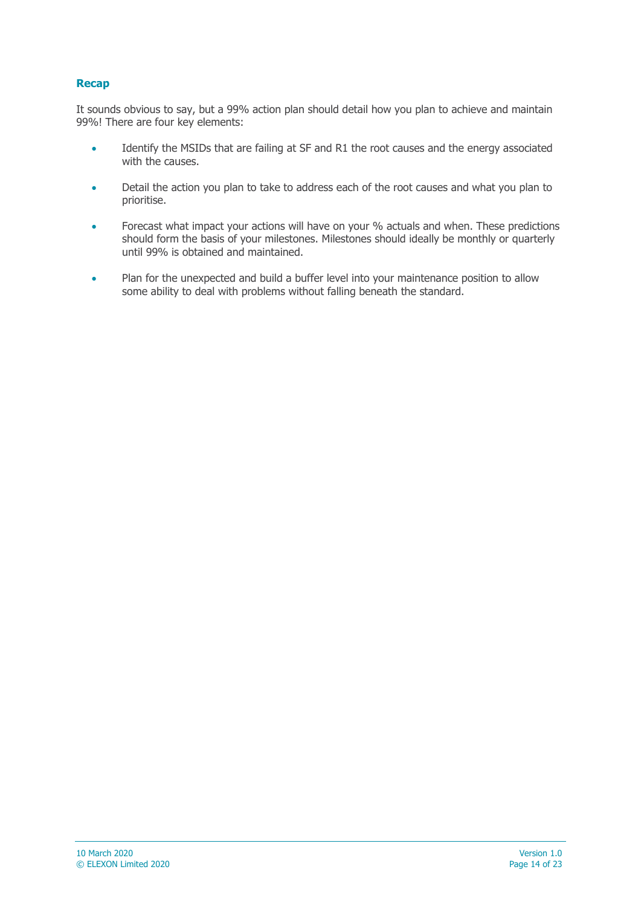#### **Recap**

It sounds obvious to say, but a 99% action plan should detail how you plan to achieve and maintain 99%! There are four key elements:

- Identify the MSIDs that are failing at SF and R1 the root causes and the energy associated with the causes.
- Detail the action you plan to take to address each of the root causes and what you plan to prioritise.
- Forecast what impact your actions will have on your % actuals and when. These predictions should form the basis of your milestones. Milestones should ideally be monthly or quarterly until 99% is obtained and maintained.
- Plan for the unexpected and build a buffer level into your maintenance position to allow some ability to deal with problems without falling beneath the standard.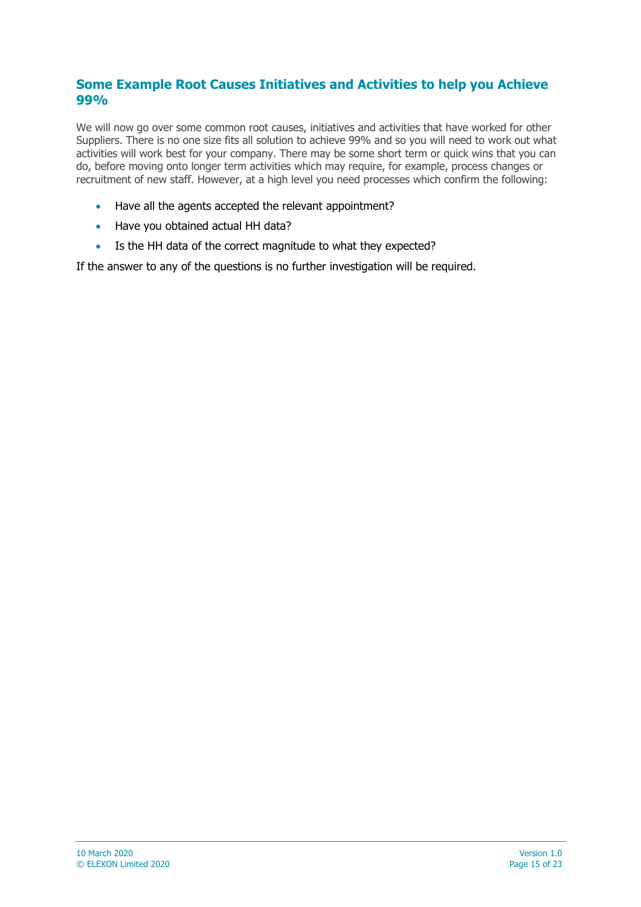#### **Some Example Root Causes Initiatives and Activities to help you Achieve 99%**

We will now go over some common root causes, initiatives and activities that have worked for other Suppliers. There is no one size fits all solution to achieve 99% and so you will need to work out what activities will work best for your company. There may be some short term or quick wins that you can do, before moving onto longer term activities which may require, for example, process changes or recruitment of new staff. However, at a high level you need processes which confirm the following:

- Have all the agents accepted the relevant appointment?
- Have you obtained actual HH data?
- Is the HH data of the correct magnitude to what they expected?

If the answer to any of the questions is no further investigation will be required.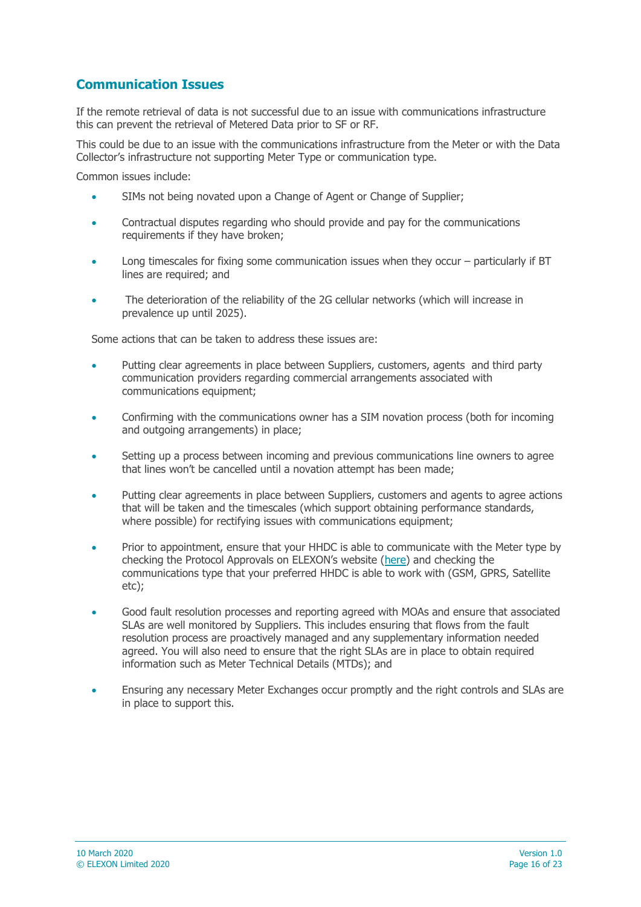### **Communication Issues**

If the remote retrieval of data is not successful due to an issue with communications infrastructure this can prevent the retrieval of Metered Data prior to SF or RF.

This could be due to an issue with the communications infrastructure from the Meter or with the Data Collector's infrastructure not supporting Meter Type or communication type.

Common issues include:

- SIMs not being novated upon a Change of Agent or Change of Supplier;
- Contractual disputes regarding who should provide and pay for the communications requirements if they have broken;
- Long timescales for fixing some communication issues when they occur particularly if BT lines are required; and
- The deterioration of the reliability of the 2G cellular networks (which will increase in prevalence up until 2025).

Some actions that can be taken to address these issues are:

- Putting clear agreements in place between Suppliers, customers, agents and third party communication providers regarding commercial arrangements associated with communications equipment;
- Confirming with the communications owner has a SIM novation process (both for incoming and outgoing arrangements) in place;
- Setting up a process between incoming and previous communications line owners to agree that lines won't be cancelled until a novation attempt has been made;
- Putting clear agreements in place between Suppliers, customers and agents to agree actions that will be taken and the timescales (which support obtaining performance standards, where possible) for rectifying issues with communications equipment;
- Prior to appointment, ensure that your HHDC is able to communicate with the Meter type by checking the Protocol Approvals on ELEXON's website ([here\)](https://www.elexon.co.uk/guidance-note/cop-compliance-protocol-approvals/) and checking the communications type that your preferred HHDC is able to work with (GSM, GPRS, Satellite etc);
- Good fault resolution processes and reporting agreed with MOAs and ensure that associated SLAs are well monitored by Suppliers. This includes ensuring that flows from the fault resolution process are proactively managed and any supplementary information needed agreed. You will also need to ensure that the right SLAs are in place to obtain required information such as Meter Technical Details (MTDs); and
- Ensuring any necessary Meter Exchanges occur promptly and the right controls and SLAs are in place to support this.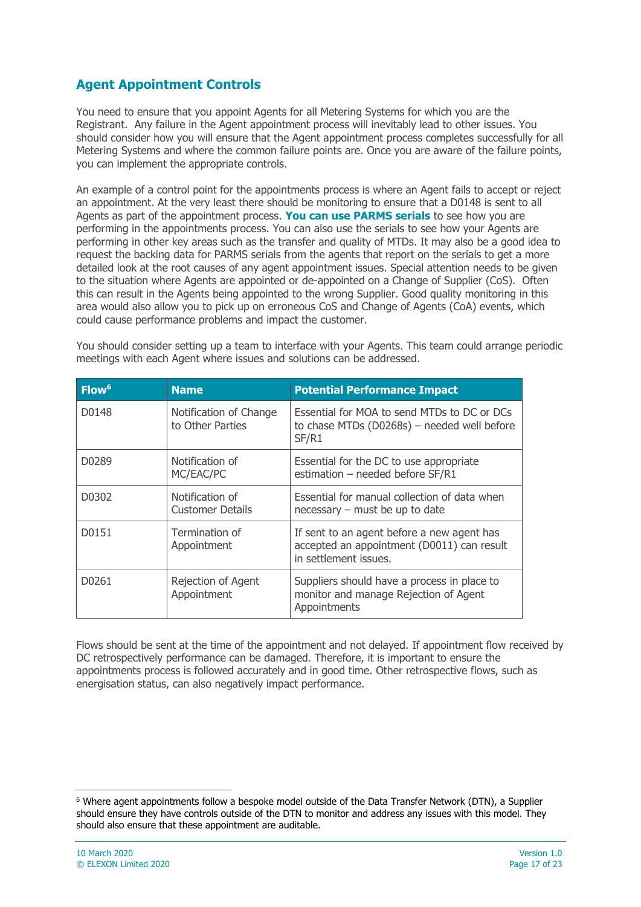### **Agent Appointment Controls**

You need to ensure that you appoint Agents for all Metering Systems for which you are the Registrant. Any failure in the Agent appointment process will inevitably lead to other issues. You should consider how you will ensure that the Agent appointment process completes successfully for all Metering Systems and where the common failure points are. Once you are aware of the failure points, you can implement the appropriate controls.

An example of a control point for the appointments process is where an Agent fails to accept or reject an appointment. At the very least there should be monitoring to ensure that a D0148 is sent to all Agents as part of the appointment process. **You can use PARMS serials** to see how you are performing in the appointments process. You can also use the serials to see how your Agents are performing in other key areas such as the transfer and quality of MTDs. It may also be a good idea to request the backing data for PARMS serials from the agents that report on the serials to get a more detailed look at the root causes of any agent appointment issues. Special attention needs to be given to the situation where Agents are appointed or de-appointed on a Change of Supplier (CoS). Often this can result in the Agents being appointed to the wrong Supplier. Good quality monitoring in this area would also allow you to pick up on erroneous CoS and Change of Agents (CoA) events, which could cause performance problems and impact the customer.

You should consider setting up a team to interface with your Agents. This team could arrange periodic meetings with each Agent where issues and solutions can be addressed.

| Flow <sup>6</sup> | <b>Name</b>                                | <b>Potential Performance Impact</b>                                                                               |
|-------------------|--------------------------------------------|-------------------------------------------------------------------------------------------------------------------|
| D0148             | Notification of Change<br>to Other Parties | Essential for MOA to send MTDs to DC or DCs<br>to chase MTDs (D0268s) - needed well before<br>SF/R1               |
| D0289             | Notification of<br>MC/EAC/PC               | Essential for the DC to use appropriate<br>estimation - needed before SF/R1                                       |
| D0302             | Notification of<br><b>Customer Details</b> | Essential for manual collection of data when<br>necessary – must be up to date                                    |
| D0151             | Termination of<br>Appointment              | If sent to an agent before a new agent has<br>accepted an appointment (D0011) can result<br>in settlement issues. |
| D0261             | Rejection of Agent<br>Appointment          | Suppliers should have a process in place to<br>monitor and manage Rejection of Agent<br>Appointments              |

Flows should be sent at the time of the appointment and not delayed. If appointment flow received by DC retrospectively performance can be damaged. Therefore, it is important to ensure the appointments process is followed accurately and in good time. Other retrospective flows, such as energisation status, can also negatively impact performance.

 $\overline{a}$ 

<sup>6</sup> Where agent appointments follow a bespoke model outside of the Data Transfer Network (DTN), a Supplier should ensure they have controls outside of the DTN to monitor and address any issues with this model. They should also ensure that these appointment are auditable.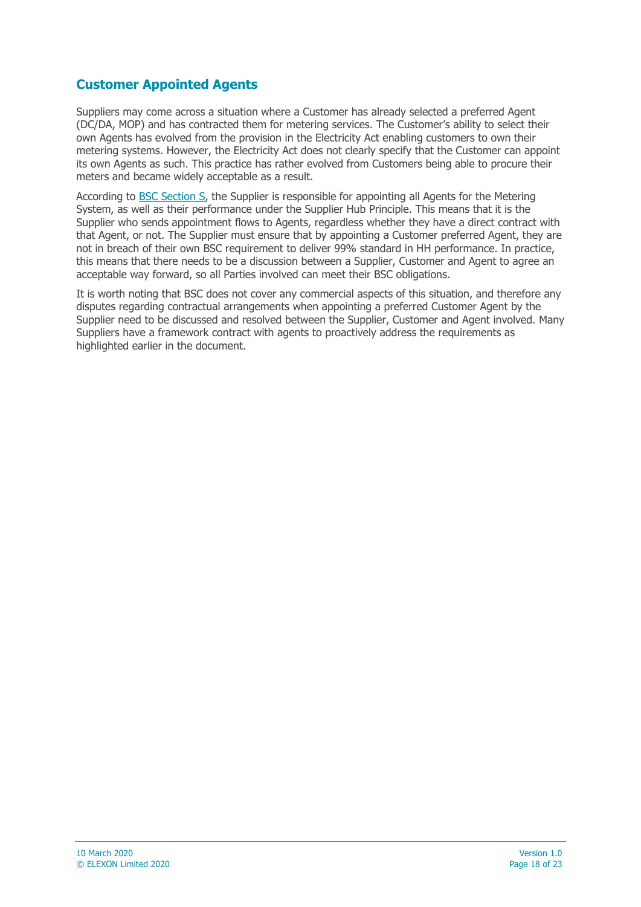### **Customer Appointed Agents**

Suppliers may come across a situation where a Customer has already selected a preferred Agent (DC/DA, MOP) and has contracted them for metering services. The Customer's ability to select their own Agents has evolved from the provision in the Electricity Act enabling customers to own their metering systems. However, the Electricity Act does not clearly specify that the Customer can appoint its own Agents as such. This practice has rather evolved from Customers being able to procure their meters and became widely acceptable as a result.

According to [BSC Section S,](https://www.elexon.co.uk/the-bsc/bsc-section-s-supplier-volume-allocation/) the Supplier is responsible for appointing all Agents for the Metering System, as well as their performance under the Supplier Hub Principle. This means that it is the Supplier who sends appointment flows to Agents, regardless whether they have a direct contract with that Agent, or not. The Supplier must ensure that by appointing a Customer preferred Agent, they are not in breach of their own BSC requirement to deliver 99% standard in HH performance. In practice, this means that there needs to be a discussion between a Supplier, Customer and Agent to agree an acceptable way forward, so all Parties involved can meet their BSC obligations.

It is worth noting that BSC does not cover any commercial aspects of this situation, and therefore any disputes regarding contractual arrangements when appointing a preferred Customer Agent by the Supplier need to be discussed and resolved between the Supplier, Customer and Agent involved. Many Suppliers have a framework contract with agents to proactively address the requirements as highlighted earlier in the document.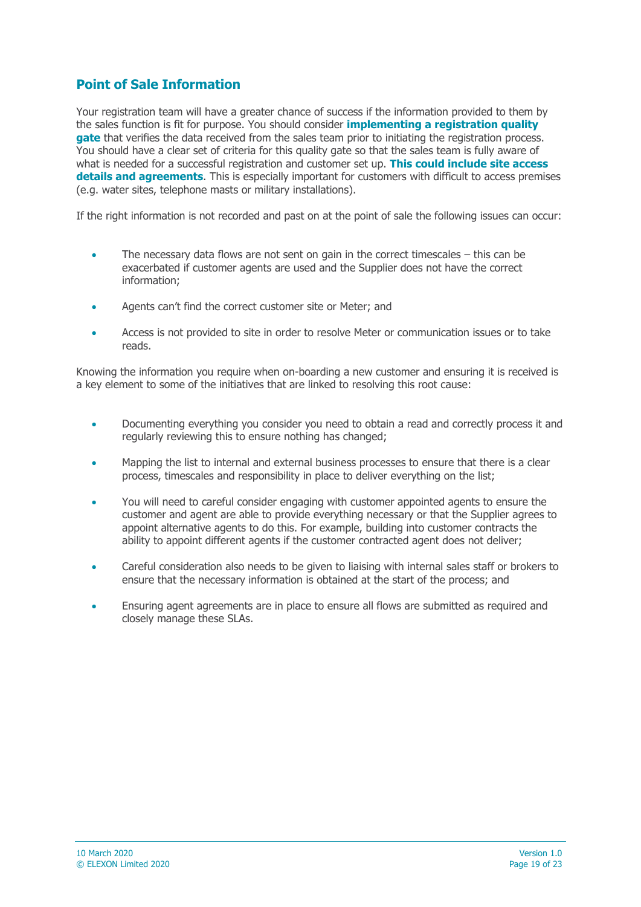### **Point of Sale Information**

Your registration team will have a greater chance of success if the information provided to them by the sales function is fit for purpose. You should consider **implementing a registration quality gate** that verifies the data received from the sales team prior to initiating the registration process. You should have a clear set of criteria for this quality gate so that the sales team is fully aware of what is needed for a successful registration and customer set up. **This could include site access details and agreements**. This is especially important for customers with difficult to access premises (e.g. water sites, telephone masts or military installations).

If the right information is not recorded and past on at the point of sale the following issues can occur:

- The necessary data flows are not sent on gain in the correct timescales this can be exacerbated if customer agents are used and the Supplier does not have the correct information;
- Agents can't find the correct customer site or Meter; and
- Access is not provided to site in order to resolve Meter or communication issues or to take reads.

Knowing the information you require when on-boarding a new customer and ensuring it is received is a key element to some of the initiatives that are linked to resolving this root cause:

- Documenting everything you consider you need to obtain a read and correctly process it and regularly reviewing this to ensure nothing has changed;
- Mapping the list to internal and external business processes to ensure that there is a clear process, timescales and responsibility in place to deliver everything on the list;
- You will need to careful consider engaging with customer appointed agents to ensure the customer and agent are able to provide everything necessary or that the Supplier agrees to appoint alternative agents to do this. For example, building into customer contracts the ability to appoint different agents if the customer contracted agent does not deliver;
- Careful consideration also needs to be given to liaising with internal sales staff or brokers to ensure that the necessary information is obtained at the start of the process; and
- Ensuring agent agreements are in place to ensure all flows are submitted as required and closely manage these SLAs.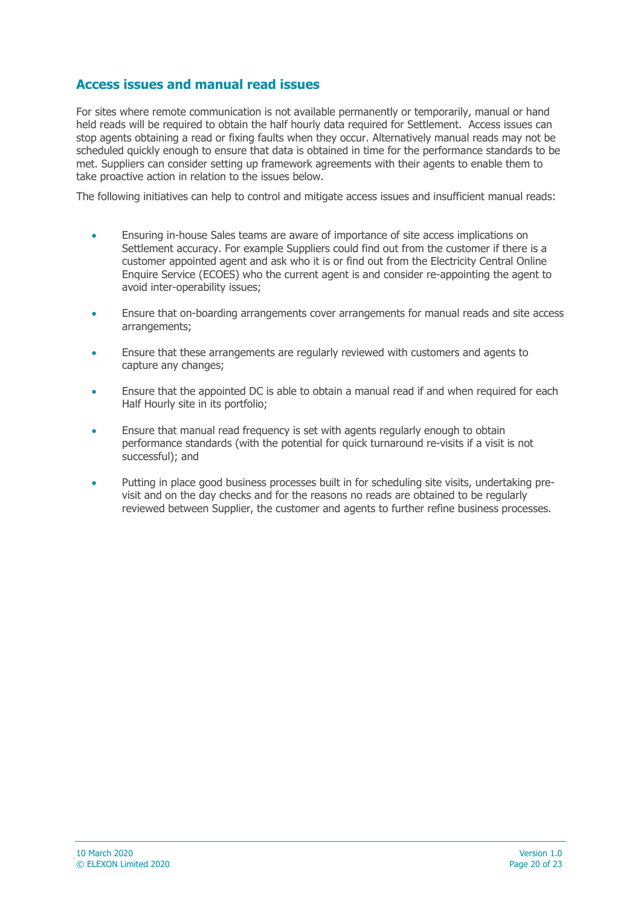### **Access issues and manual read issues**

For sites where remote communication is not available permanently or temporarily, manual or hand held reads will be required to obtain the half hourly data required for Settlement. Access issues can stop agents obtaining a read or fixing faults when they occur. Alternatively manual reads may not be scheduled quickly enough to ensure that data is obtained in time for the performance standards to be met. Suppliers can consider setting up framework agreements with their agents to enable them to take proactive action in relation to the issues below.

The following initiatives can help to control and mitigate access issues and insufficient manual reads:

- Ensuring in-house Sales teams are aware of importance of site access implications on Settlement accuracy. For example Suppliers could find out from the customer if there is a customer appointed agent and ask who it is or find out from the Electricity Central Online Enquire Service (ECOES) who the current agent is and consider re-appointing the agent to avoid inter-operability issues;
- Ensure that on-boarding arrangements cover arrangements for manual reads and site access arrangements;
- Ensure that these arrangements are regularly reviewed with customers and agents to capture any changes;
- Ensure that the appointed DC is able to obtain a manual read if and when required for each Half Hourly site in its portfolio;
- Ensure that manual read frequency is set with agents regularly enough to obtain performance standards (with the potential for quick turnaround re-visits if a visit is not successful); and
- Putting in place good business processes built in for scheduling site visits, undertaking previsit and on the day checks and for the reasons no reads are obtained to be regularly reviewed between Supplier, the customer and agents to further refine business processes.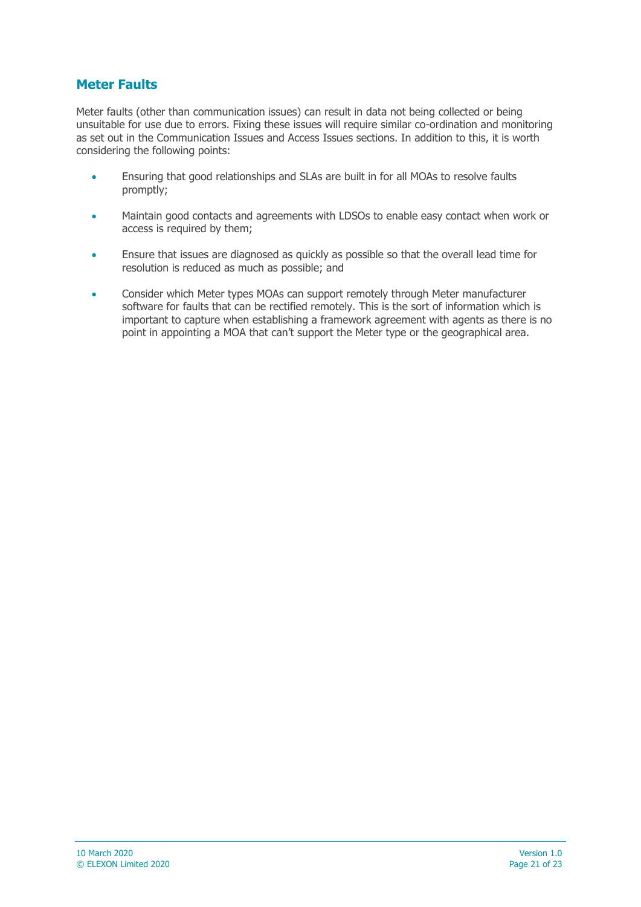### **Meter Faults**

Meter faults (other than communication issues) can result in data not being collected or being unsuitable for use due to errors. Fixing these issues will require similar co-ordination and monitoring as set out in the Communication Issues and Access Issues sections. In addition to this, it is worth considering the following points:

- Ensuring that good relationships and SLAs are built in for all MOAs to resolve faults promptly;
- Maintain good contacts and agreements with LDSOs to enable easy contact when work or access is required by them;
- Ensure that issues are diagnosed as quickly as possible so that the overall lead time for resolution is reduced as much as possible; and
- Consider which Meter types MOAs can support remotely through Meter manufacturer software for faults that can be rectified remotely. This is the sort of information which is important to capture when establishing a framework agreement with agents as there is no point in appointing a MOA that can't support the Meter type or the geographical area.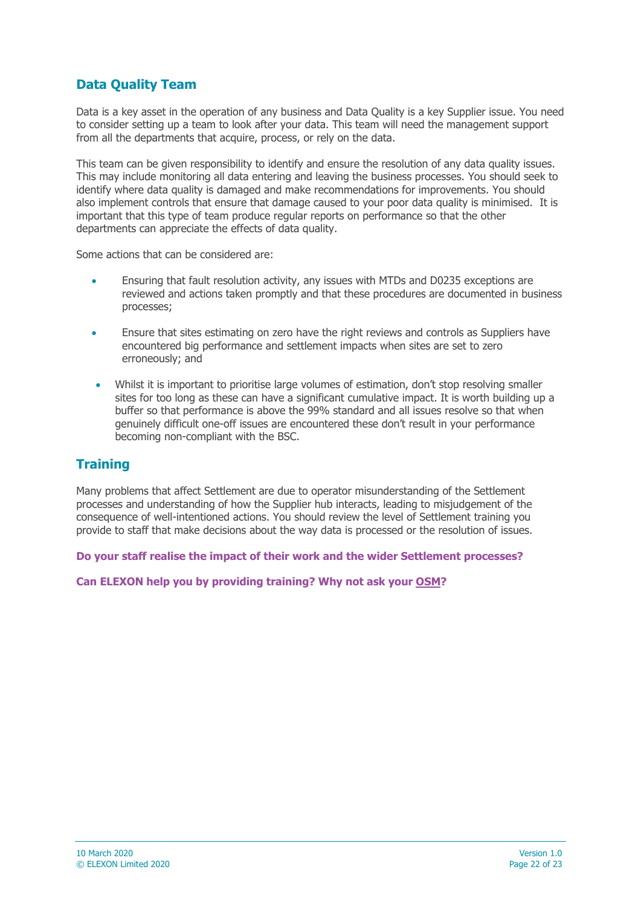### **Data Quality Team**

Data is a key asset in the operation of any business and Data Quality is a key Supplier issue. You need to consider setting up a team to look after your data. This team will need the management support from all the departments that acquire, process, or rely on the data.

This team can be given responsibility to identify and ensure the resolution of any data quality issues. This may include monitoring all data entering and leaving the business processes. You should seek to identify where data quality is damaged and make recommendations for improvements. You should also implement controls that ensure that damage caused to your poor data quality is minimised. It is important that this type of team produce regular reports on performance so that the other departments can appreciate the effects of data quality.

Some actions that can be considered are:

- Ensuring that fault resolution activity, any issues with MTDs and D0235 exceptions are reviewed and actions taken promptly and that these procedures are documented in business processes;
- Ensure that sites estimating on zero have the right reviews and controls as Suppliers have encountered big performance and settlement impacts when sites are set to zero erroneously; and
- Whilst it is important to prioritise large volumes of estimation, don't stop resolving smaller sites for too long as these can have a significant cumulative impact. It is worth building up a buffer so that performance is above the 99% standard and all issues resolve so that when genuinely difficult one-off issues are encountered these don't result in your performance becoming non-compliant with the BSC.

### **Training**

Many problems that affect Settlement are due to operator misunderstanding of the Settlement processes and understanding of how the Supplier hub interacts, leading to misjudgement of the consequence of well-intentioned actions. You should review the level of Settlement training you provide to staff that make decisions about the way data is processed or the resolution of issues.

**Do your staff realise the impact of their work and the wider Settlement processes?** 

#### **Can ELEXON help you by providing training? Why not ask your [OSM?](https://www.elexon.co.uk/about/elexon-key-contacts/operational-support-managers-osms/)**